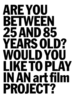## ARE YOU BETWEEN 25 AND 85 YEARSOLD? WOULD YOU LIKE TO PLAY INANart film PROJECT?